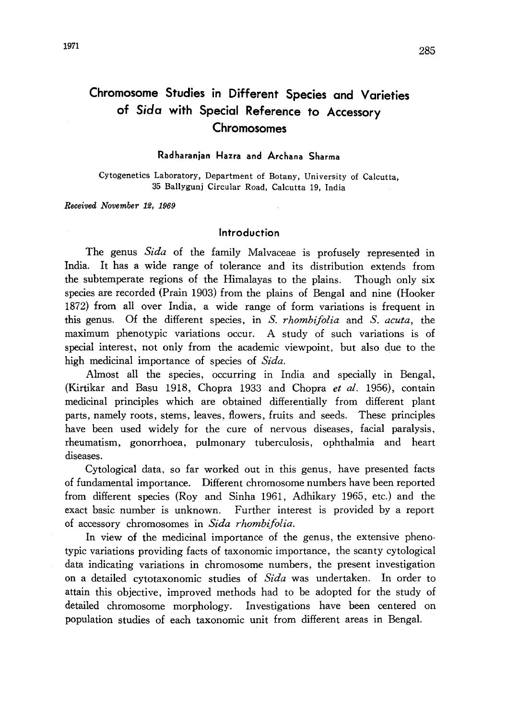#### Radharanjan Hazra and Archana Sharma

Cytogenetics Laboratory, Department of Botany, University of Calcutta, 35 Ballygunj Circular Road, Calcutta 19, India

Received November 12, 1969

#### Introduction

The genus Sida of the family Malvaceae is profusely represented in India. It has a wide range of tolerance and its distribution extends from the subtemperate regions of the Himalayas to the plains. Though only six species are recorded (Prain 1903) from the plains of Bengal and nine (Hooker 1872) from all over India, a wide range of form variations is frequent in this genus. Of the different species, in S. *rhombifolia* and S. *acuta*, the maximum phenotypic variations occur. A study of such variations is of special interest, not only from the academic viewpoint, but also due to the high medicinal importance of species of Sida.

Almost all the species, occurring in India and specially in Bengal, (Kirtikar and Basu 1918, Chopra 1933 and Chopra et al. 1956), contain medicinal principles which are obtained differentially from different plant parts, namely roots, stems, leaves, flowers, fruits and seeds. These principles have been used widely for the cure of nervous diseases, facial paralysis, rheumatism, gonorrhoea, pulmonary tuberculosis, ophthalmia and heart diseases.

Cytological data, so far worked out in this genus, have presented facts of fundamental importance. Different chromosome numbers have been reported from different species (Roy and Sinha 1961, Adhikary 1965, etc.) and the exact basic number is unknown. Further interest is provided by a report of accessory chromosomes in Sida rhombifolia.

In view of the medicinal importance of the genus, the extensive pheno typic variations providing facts of taxonomic importance, the scanty cytological data indicating variations in chromosome numbers, the present investigation on a detailed cytotaxonomic studies of Sida was undertaken. In order to attain this objective, improved methods had to be adopted for the study of detailed chromosome morphology. Investigations have been centered on population studies of each taxonomic unit from different areas in Bengal.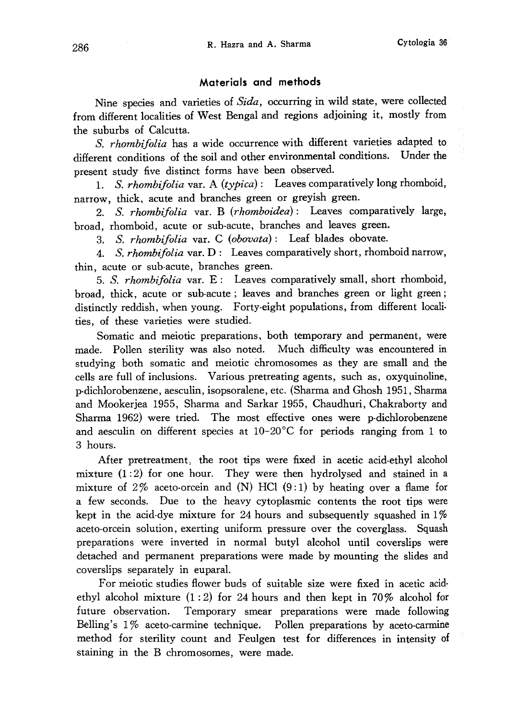# Materials and methods

Nine species and varieties of Sida, occurring in wild state, were collected from different localities of West Bengal and regions adjoining it, mostly from the suburbs of Calcutta.

S. rhombifolia has a wide occurrence with different varieties adapted to different conditions of the soil and other environmental conditions. Under the present study five distinct forms have been observed.

1. S. rhombifolia var. A (typica): Leaves comparatively long rhomboid, narrow, thick, acute and branches green or greyish green.

2. S. rhombifolia var. B (rhomboidea): Leaves comparatively large, broad, rhomboid, acute or sub-acute, branches and leaves green.

3. S. rhombifolia var. C (obovata): Leaf blades obovate.

4. S. rhombifolia var. D: Leaves comparatively short, rhomboid narrow, thin, acute or sub-acute, branches green.

5. S. rhombifolia var. E: Leaves comparatively small, short rhomboid, broad, thick, acute or sub-acute; leaves and branches green or light green; distinctly reddish, when young. Forty-eight populations, from different locali ties, of these varieties were studied.

Somatic and meiotic preparations, both temporary and permanent, were made. Pollen sterility was also noted. Much difficulty was encountered in studying both somatic and meiotic chromosomes as they are small and the cells are full of inclusions. Various pretreating agents, such as, oxyquinoline, p-dichlorobenzene, aesculin, isopsoralene, etc. (Sharma and Ghosh 1951, Sharma and Mookerjea 1955, Sharma and Sarkar 1955, Chaudhuri, Chakraborty and Sharma 1962) were tried. The most effective ones were p-dichlorobenzene and aesculin on different species at  $10-20^{\circ}$ C for periods ranging from 1 to 3 hours.

After pretreatment, the root tips were fixed in acetic acid-ethyl alcohol mixture (1:2) for one hour. They were then hydrolysed and stained in a mixture of 2% aceto-orcein and (N) HCl  $(9:1)$  by heating over a flame for a few seconds. Due to the heavy cytoplasmic contents the root tips were kept in the acid-dye mixture for 24 hours and subsequently squashed in 1% aceto-orcein solution, exerting uniform pressure over the coverglass. Squash preparations were inverted in normal butyl alcohol until coverslips were detached and permanent preparations were made by mounting the slides and coverslips separately in euparal.

For meiotic studies flower buds of suitable size were fixed in acetic acid ethyl alcohol mixture  $(1:2)$  for 24 hours and then kept in 70% alcohol for future observation. Temporary smear preparations were made following Belling's 1% aceto-carmine technique. Pollen preparations by aceto-carmine method for sterility count and Feulgen test for differences in intensity of staining in the B chromosomes, were made.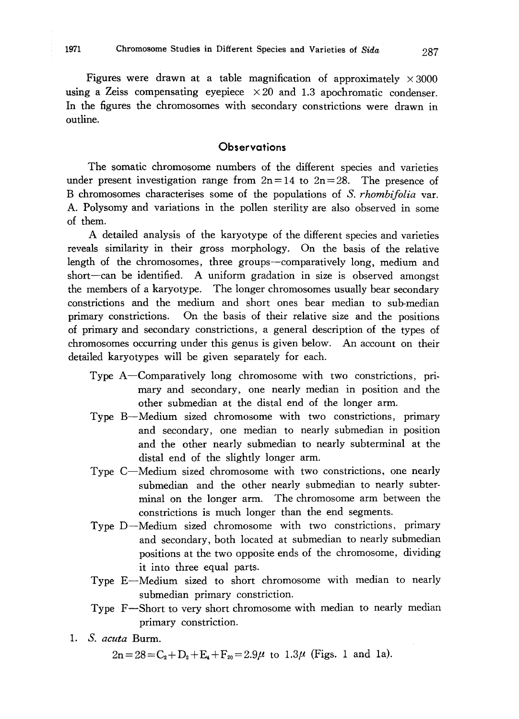Figures were drawn at a table magnification of approximately  $\times 3000$ using a Zeiss compensating eyepiece  $\times 20$  and 1.3 apochromatic condenser. In the figures the chromosomes with secondary constrictions were drawn in outline.

## **Observations**

The somatic chromosome numbers of the different species and varieties under present investigation range from  $2n=14$  to  $2n=28$ . The presence of B chromosomes characterises some of the populations of S. rhombifolia var. A. Polysomy and variations in the pollen sterility are also observed in some of them.

A detailed analysis of the karyotype of the different species and varieties reveals similarity in their gross morphology. On the basis of the relative length of the chromosomes, three groups-comparatively long, medium and short-can be identified. A uniform gradation in size is observed amongst the members of a karyotype. The longer chromosomes usually bear secondary constrictions and the medium and short ones bear median to sub-median primary constrictions. On the basis of their relative size and the positions of primary and secondary constrictions, a general description of the types of chromosomes occurring under this genus is given below. An account on their detailed karyotypes will be given separately for each.

- Type A-Comparatively long chromosome with two constrictions, pri mary and secondary, one nearly median in position and the other submedian at the distal end of the longer arm.
- Type B-Medium sized chromosome with two constrictions, primary and secondary, one median to nearly submedian in position and the other nearly submedian to nearly subterminal at the distal end of the slightly longer arm.
- Type C-Medium sized chromosome with two constrictions, one nearly submedian and the other nearly submedian to nearly subter minal on the longer arm. The chromosome arm between the constrictions is much longer than the end segments.
- Type D-Medium sized chromosome with two constrictions, primary and secondary, both located at submedian to nearly submedian positions at the two opposite ends of the chromosome, dividing it into three equal parts.
- Type E-Medium sized to short chromosome with median to nearly submedian primary constriction.
- Type F-Short to very short chromosome with median to nearly median primary constriction.
- 1. S. acuta Burm.

 $2n=28=C_2+D_2+E_4+F_{20}=2.9\mu$  to  $1.3\mu$  (Figs. 1 and 1a).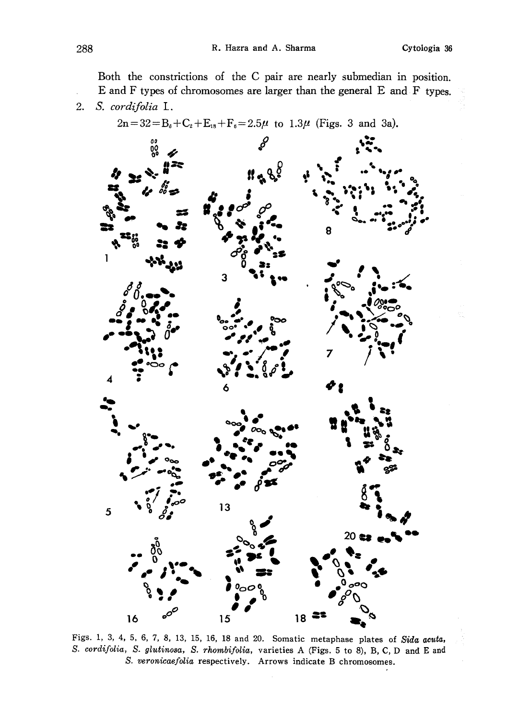Both the constrictions of the C pair are nearly submedian in position. E and F types of chromosomes are larger than the general E and F types.

2. S. cordifolia L.



Figs. 1, 3, 4, 5, 6, 7, 8, 13, 15, 16, 18 and 20. Somatic metaphase plates of Sida acuta, S. cordifolia, S. glutinosa, S. rhombifolia, varieties A (Figs. 5 to 8), B, C, D and E and S. veronicaefolia respectively. Arrows indicate B chromosomes.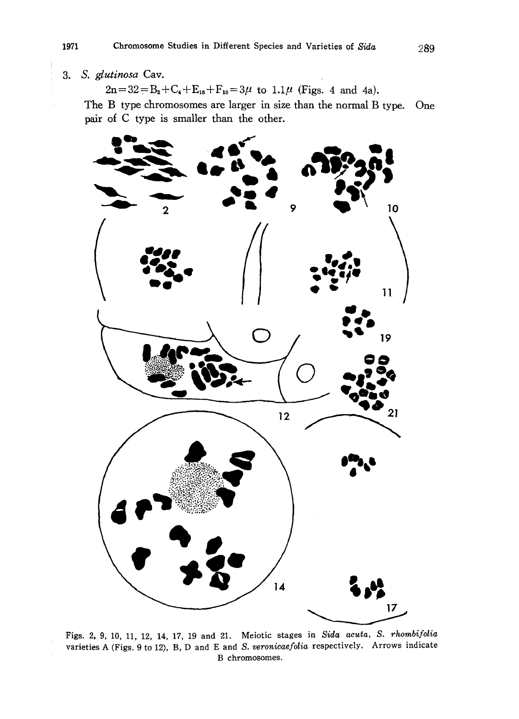# 3. S. glutinosa Cav.

 $2n=32=B_2+C_4+E_{16}+F_{10}=3\mu$  to 1.1 $\mu$  (Figs. 4 and 4a). The B type chromosomes are larger in size than the normal B type. One pair of C type is smaller than the other.



Figs. 2, 9, 10, 11, 12, 14, 17, 19 and 21. Meiotic stages in Sida acuta, S. rhombifolia varieties A (Figs. 9 to 12), B, D and E and S. veronicaefolia respectively. Arrows indicate B chromosomes.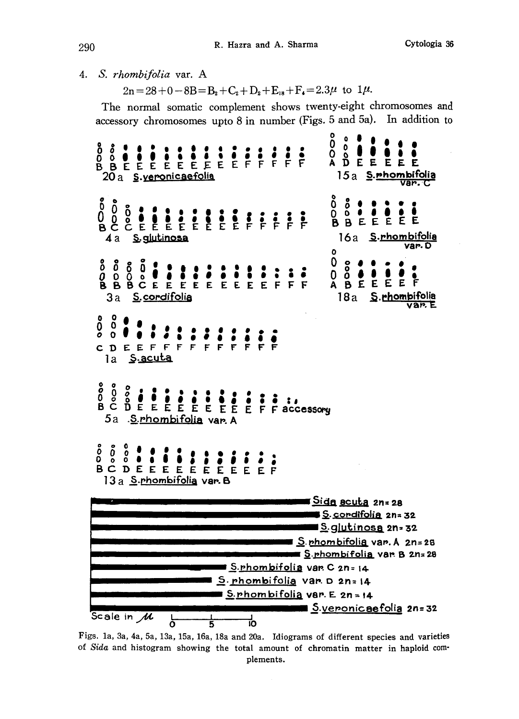4. S. rhombifolia var. A

 $2n=28+0-8B=B_2+C_2+D_2+E_{18}+F_4=2.3\mu$  to  $1\mu$ .

The normal somatic complement shows twenty-eight chromosomes and accessory chromosomes upto 8 in number (Figs. 5 and 5a). In addition to



Figs. la, 3a, 4a, 5a, 13a, 15a, 16a, 18a and 20a. Idiograms of different species and varieties of Sida and histogram showing the total amount of chromatin matter in haploid com plements.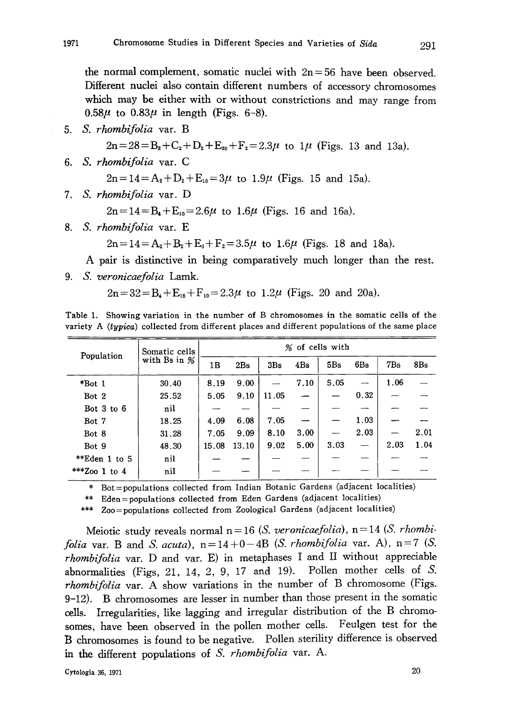the normal complement, somatic nuclei with  $2n=56$  have been observed. Different nuclei also contain different numbers of accessory chromosomes which may be either with or without constrictions and may range from  $0.58\mu$  to  $0.83\mu$  in length (Figs. 6-8).

5. S. rhombifolia var. B

 $2n=28=B_2+C_2+D_2+E_{20}+F_2=2.3\mu$  to  $1\mu$  (Figs. 13 and 13a).

6. S. rhombifolia var. C

 $2n=14=A_2+D_2+E_{10}=3\mu$  to  $1.9\mu$  (Figs. 15 and 15a).

7. S. rhombifolia var. D

 $2n=14=B_4+E_{10}=2.6\mu$  to 1.6 $\mu$  (Figs. 16 and 16a).

8. S. rhombifolia var. E

 $2n=14=A_2+B_2+E_3+F_2=3.5\mu$  to 1.6 $\mu$  (Figs. 18 and 18a).

A pair is distinctive in being comparatively much longer than the rest. 9. S. veronicaefolia Lamk.

 $2n=32=B_4+E_{18}+F_{10}=2.3\mu$  to  $1.2\mu$  (Figs. 20 and 20a).

Table 1. Showing variation in the number of B chromosomes in the somatic cells of the variety A (typica) collected from different places and different populations of the same place

| Population    | Somatic cells<br>with Bs in $%$ | % of cells with |       |       |                 |                 |                          |                 |      |
|---------------|---------------------------------|-----------------|-------|-------|-----------------|-----------------|--------------------------|-----------------|------|
|               |                                 | 1B              | 2Bs   | 3Bs   | 4B <sub>S</sub> | 5B <sub>S</sub> | 6Bs                      | 7B <sub>s</sub> | 8Bs  |
| $*$ Bot 1     | 30.40                           | 8.19            | 9.00  |       | 7.10            | 5.05            | $\overline{\phantom{a}}$ | 1.06            |      |
| Bot 2         | 25.52                           | 5.05            | 9.10  | 11.05 |                 |                 | 0.32                     |                 |      |
| Bot 3 to 6    | nil                             |                 |       |       |                 |                 |                          |                 |      |
| Bot 7         | 18.25                           | 4.09            | 6.08  | 7.05  |                 |                 | 1.03                     |                 |      |
| Bot 8         | 31.28                           | 7.05            | 9.09  | 8.10  | 3.00            |                 | 2.03                     |                 | 2.01 |
| Bot 9         | 48.30                           | 15.08           | 13.10 | 9.02  | 5.00            | 3.03            | $\overline{\phantom{a}}$ | 2.03            | 1.04 |
| **Eden 1 to 5 | nil                             |                 |       |       |                 |                 |                          |                 |      |
| ***Zoo 1 to 4 | nil                             |                 |       |       |                 |                 |                          |                 |      |

\* Bot=populations collected from Indian Botanic Gardens (adjacent localities)

\*\* Eden=populations collected from Eden Gardens (adjacent localities)

\*\*\* Zoo=populations collected from Zoological Gardens (adjacent localities)

Meiotic study reveals normal  $n=16$  (S. veronicaefolia),  $n=14$  (S. rhombifolia var. B and S. acuta),  $n=14+0-4B$  (S. rhombifolia var. A),  $n=7$  (S. rhombifolia var. D and var. E) in metaphases I and II without appreciable abnormalities (Figs, 21, 14, 2, 9, 17 and 19). Pollen mother cells of S. rhombifolia var. A show variations in the number of B chromosome (Figs. 9-12). B chromosomes are lesser in number than those present in the somatic cells. Irregularities, like lagging and irregular distribution of the B chromo somes, have been observed in the pollen mother cells. Feulgen test for the 13 chromosomes is found to be negative. Pollen sterility difference is observed in the different populations of S. rhombifolia var. A.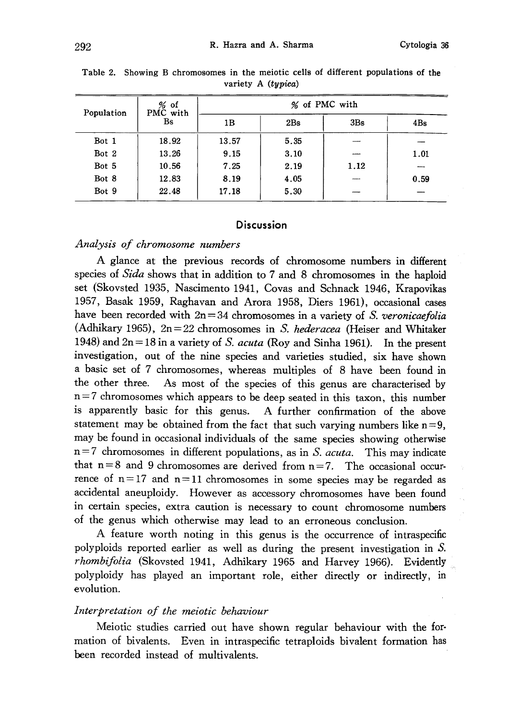| Population | $%$ of<br>PMC with<br>Bs | % of PMC with |                 |                 |      |  |  |  |
|------------|--------------------------|---------------|-----------------|-----------------|------|--|--|--|
|            |                          | 1B            | 2B <sub>s</sub> | 3B <sub>s</sub> | 4Bs  |  |  |  |
| Bot 1      | 18.92                    | 13.57         | 5.35            |                 |      |  |  |  |
| Bot 2      | 13.26                    | 9.15          | 3.10            |                 | 1.01 |  |  |  |
| Bot 5      | 10.56                    | 7.25          | 2.19            | 1.12            |      |  |  |  |
| Bot 8      | 12.83                    | 8.19          | 4.05            |                 | 0.59 |  |  |  |
| Bot 9      | 22.48                    | 17.18         | 5.30            |                 |      |  |  |  |

Table 2. Showing B chromosomes in the meiotic cells of different populations of the variety A (typica)

# Discussion

### Analysis of chromosome numbers

A glance at the previous records of chromosome numbers in different species of *Sida* shows that in addition to 7 and 8 chromosomes in the haploid set (Skovsted 1935, Nascimento 1941, Covas and Schnack 1946, Krapovikas 1957, Basak 1959, Raghavan and Arora 1958, Diers 1961), occasional cases have been recorded with  $2n=34$  chromosomes in a variety of S. veronicaefolia (Adhikary 1965),  $2n = 22$  chromosomes in S. hederacea (Heiser and Whitaker 1948) and  $2n=18$  in a variety of S. acuta (Roy and Sinha 1961). In the present investigation, out of the nine species and varieties studied, six have shown a basic set of 7 chromosomes, whereas multiples of 8 have been found in the other three. As most of the species of this genus are characterised by n=7 chromosomes which appears to be deep seated in this taxon , this number is apparently basic for this genus. A further confirmation of the above statement may be obtained from the fact that such varying numbers like  $n=9$ , may be found in occasional individuals of the same species showing otherwise  $n=7$  chromosomes in different populations, as in S. acuta. This may indicate that  $n=8$  and 9 chromosomes are derived from  $n=7$ . The occasional occurrence of  $n=17$  and  $n=11$  chromosomes in some species may be regarded as accidental aneuploidy. However as accessory chromosomes have been found in certain species, extra caution is necessary to count chromosome numbers of the genus which otherwise may lead to an erroneous conclusion.

A feature worth noting in this genus is the occurrence of intraspecific polyploids reported earlier as well as during the present investigation in S. rhombifolia (Skovsted 1941, Adhikary 1965 and Harvey 1966). Evidently polyploidy has played an important role, either directly or indirectly, in evolution.

## Interpretation of the meiotic behaviour

Meiotic studies carried out have shown regular behaviour with the for mation of bivalents. Even in intraspecific tetraploids bivalent formation has been recorded instead of multivalents.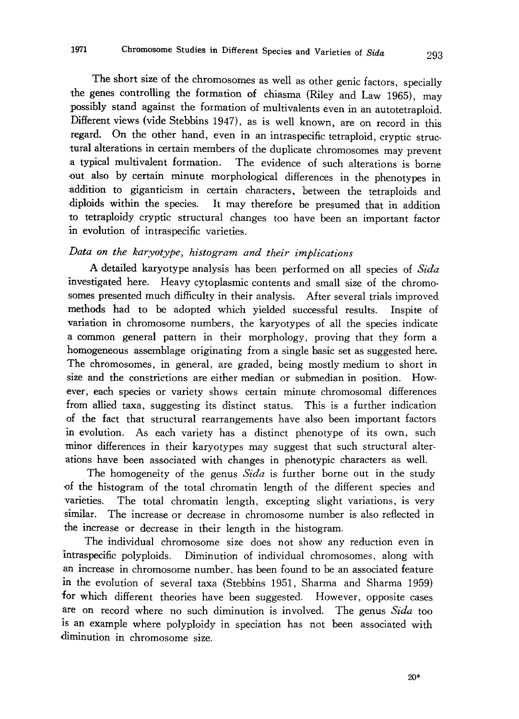The short size of the chromosomes as well as other genic factors , specially the genes controlling the formation of chiasma (Riley and Law 1965) , may possibly stand against the formation of multivalents even in an autotetraploid. Different views (vide Stebbins 1947), as is well known , are on record in this regard. On the other hand, even in an intraspecific tetraploid, cryptic structural alterations in certain members of the duplicate chromosomes may prevent a typical multivalent formation. The evidence of such alterations is borne out also by certain minute morphological differences in the phenotypes in addition to giganticism in certain characters, between the tetraploids and diploids within the species. It may therefore be presumed that in addition to tetraploidy cryptic structural changes too have been an important factor in evolution of intraspecific varieties.

# Data on the karyotype, histogram and their implications

A detailed karyotype analysis has been performed on all species of Sida investigated here. Heavy cytoplasmic contents and small size of the chromo somes presented much difficulty in their analysis. After several trials improved methods had to be adopted which yielded successful results. Inspite of variation in chromosome numbers, the karyotypes of all the species indicate a common general pattern in their morphology, proving that they form a homogeneous assemblage originating from a single basic set as suggested here. The chromosomes, in general, are graded, being mostly medium to short in size and the constrictions are either median or submedian in position. How ever, each species or variety shows certain minute chromosomal differences from allied taxa, suggesting its distinct status. This is a further indication of the fact that structural rearrangements have also been important factors in evolution. As each variety has a distinct phenotype of its own, such minor differences in their karyotypes may suggest that such structural alter ations have been associated with changes in phenotypic characters as well.

The homogeneity of the genus Sida is further borne out in the study of the histogram of the total chromatin length of the different species and varieties. The total chromatin length, excepting slight variations, is very similar. The increase or decrease in chromosome number is also reflected in the increase or decrease in their length in the histogram.

The individual chromosome size does not show any reduction even in intraspecific polyploids. Diminution of individual chromosomes, along with an increase in chromosome number , has been found to be an associated feature in the evolution of several taxa (Stebbins 1951, Sharma and Sharma 1959) for which different theories have been suggested. However, opposite cases are on record where no such diminution is involved. The genus Sida too is an example where polyploidy in speciation has not been associated with diminution in chromosome size.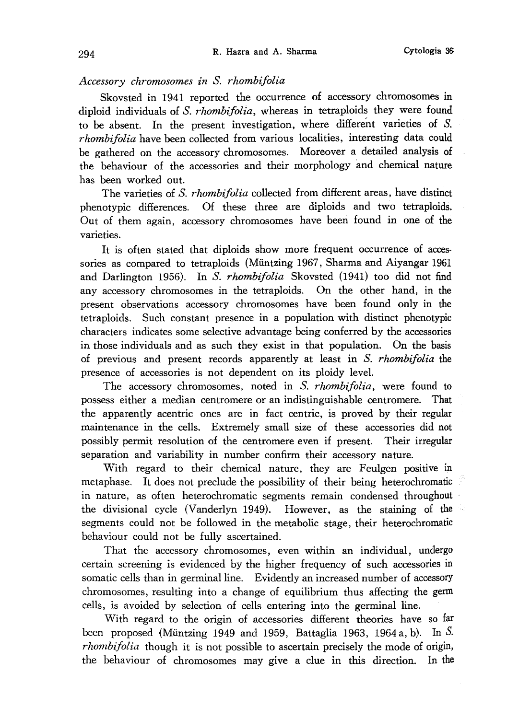## Accessory chromosomes in S. rhombifolia

Skovsted in 1941 reported the occurrence of accessory chromosomes in diploid individuals of S. rhombifolia, whereas in tetraploids they were found to be absent. In the present investigation, where different varieties of S. rhombifolia have been collected from various localities, interesting data could be gathered on the accessory chromosomes. Moreover a detailed analysis of the behaviour of the accessories and their morphology and chemical nature has been worked out.

The varieties of S. rhombifolia collected from different areas, have distinct phenotypic differences. Of these three are diploids and two tetraploids. Out of them again, accessory chromosomes have been found in one of the varieties.

It is often stated that diploids show more frequent occurrence of acces sories as compared to tetraploids (Müntzing 1967, Sharma and Aiyangar 1961 and Darlington 1956). In S. rhombifolia Skovsted (1941) too did not find any accessory chromosomes in the tetraploids. On the other hand, in the present observations accessory chromosomes have been found only in the tetraploids. Such constant presence in a population with distinct phenotypic characters indicates some selective advantage being conferred by the accessories in those individuals and as such they exist in that population. On the basis of previous and present records apparently at least in S. rhombifolia the presence of accessories is not dependent on its ploidy level.

The accessory chromosomes, noted in S. rhombifolia, were found to possess either a median centromere or an indistinguishable centromere. That the apparently acentric ones are in fact centric, is proved by their regular maintenance in the cells. Extremely small size of these accessories did not possibly permit resolution of the centromere even if present. Their irregular separation and variability in number confirm their accessory nature.

With regard to their chemical nature, they are Feulgen positive in metaphase. It does not preclude the possibility of their being heterochromatic in nature, as often heterochromatic segments remain condensed throughout the divisional cycle (Vanderlyn 1949). However, as the staining of the segments could not be followed in the metabolic stage, their heterochromatic behaviour could not be fully ascertained.

That the accessory chromosomes, even within an individual, undergo certain screening is evidenced by the higher frequency of such accessories in somatic cells than in germinal line. Evidently an increased number of accessory chromosomes, resulting into a change of equilibrium thus affecting the germ cells, is avoided by selection of cells entering into the germinal line.

With regard to the origin of accessories different theories have so far been proposed (Müntzing 1949 and 1959, Battaglia 1963, 1964 a, b). In S. *rhombifolia* though it is not possible to ascertain precisely the mode of origin, the behaviour of chromosomes may give a clue in this direction. In the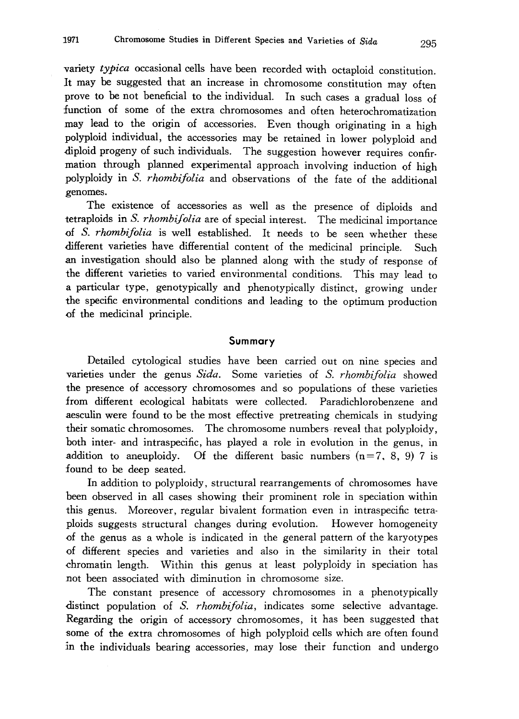variety typica occasional cells have been recorded with octaploid constitution. It may be suggested that an increase in chromosome constitution may often prove to be not beneficial to the individual. In such cases a gradual loss of function of some of the extra chromosomes and often heterochromatization may lead to the origin of accessories. Even though originating in a high polyploid individual, the accessories may be retained in lower polyploid and diploid progeny of such individuals. The suggestion however requires confir mation through planned experimental approach involving induction of high polyploidy in S. rhombifolia and observations of the fate of the additional genomes.

The existence of accessories as well as the presence of diploids and tetraploids in S. rhombifolia are of special interest. The medicinal importance of S. rhombifolia is well established. It needs to be seen whether these different varieties have differential content of the medicinal principle. Such an investigation should also be planned along with the study of response of the different varieties to varied environmental conditions. This may lead to a particular type, genotypically and phenotypically distinct, growing under the specific environmental conditions and leading to the optimum production of the medicinal principle.

## Summary

Detailed cytological studies have been carried out on nine species and varieties under the genus Sida. Some varieties of S. rhombifolia showed the presence of accessory chromosomes and so populations of these varieties from different ecological habitats were collected. Paradichlorobenzene and aesculin were found to be the most effective pretreating chemicals in studying their somatic chromosomes. The chromosome numbers reveal that polyploidy, both inter- and intraspecific, has played a role in evolution in the genus, in addition to aneuploidy. Of the different basic numbers  $(n=7, 8, 9)$  7 is found to be deep seated.

In addition to polyploidy, structural rearrangements of chromosomes have been observed in all cases showing their prominent role in speciation within this genus. Moreover, regular bivalent formation even in intraspecific tetra ploids suggests structural changes during evolution. However homogeneity of the genus as a whole is indicated in the general pattern of the karyotypes of different species and varieties and also in the similarity in their total chromatin length. Within this genus at least polyploidy in speciation has not been associated with diminution in chromosome size.

The constant presence of accessory chromosomes in a phenotypically distinct population of S. *rhombifolia*, indicates some selective advantage. Regarding the origin of accessory chromosomes, it has been suggested that some of the extra chromosomes of high polyploid cells which are often found in the individuals bearing accessories, may lose their function and undergo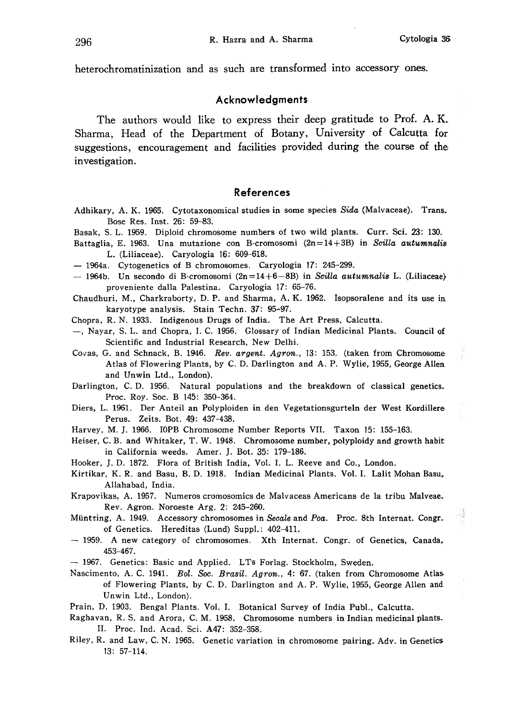heterochromatinization and as such are transformed into accessory ones.

#### Acknowledgments

The authors would like to express their deep gratitude to Prof. A. K. Sharma, Head of the Department of Botany, University of Calcutta for suggestions, encouragement and facilities provided during the course of the investigation.

#### References

- Adhikary, A. K. 1965. Cytotaxonomical studies in some species Sida (Malvaceae). Trans. Bose Res. Inst. 26: 59-83.
- Basak, S. L. 1959. Diploid chromosome numbers of two wild plants. Curr. Sci. 23: 130.
- Battaglia, E. 1963. Una mutazione con B-cromosomi  $(2n=14+3B)$  in Scilla autumnalis L. (Liliaceae). Caryologia 16: 609-618.
- 1964a. Cytogenetics of B chromosomes. Caryologia 17: 245-299.
- $-$  1964b. Un secondo di B-cromosomi (2n=14+6-8B) in Scilla autumnalis L. (Liliaceae) proveniente dalla Palestina. Caryologia 17: 65-76.
- Chaudhuri, M., Charkraborty, D. P. and Sharma, A. K. 1962. Isopsoralene and its use in karyotype analysis. Stain Techn. 37: 95-97.
- Chopra, R. N. 1933. Indigenous Drugs of India. The Art Press, Calcutta.
- -, Nayar, S. L. and Chopra, I. C. 1956. Glossary of Indian Medicinal Plants. Council of Scientific and Industrial Research, New Delhi.
- Covas, G. and Schnack, B. 1946. Rev. argent. Agron., 13: 153. (taken from Chromosome Atlas of Flowering Plants, by C. D. Darlington and A. P. Wylie, 1955, George Allen and Unwin Ltd., London).
- Darlington, C. D. 1956. Natural populations and the breakdown of classical genetics. Proc. Roy. Soc. B 145: 350-364.
- Diers, L. 1961. Der Anteil an Polyploiden in den Vegetationsgurteln der West Kordillere Perus. Zeits. Bot. 49: 437-438.
- Harvey, M. J. 1966. IOPB Chromosome Number Reports VII. Taxon 15: 155-163.
- Heiser, C. B. and Whitaker, T. W. 1948. Chromosome number, polyploidy and growth habit in California weeds. Amer. J. Bot. 35: 179-186.
- Hooker, J. D. 1872. Flora of British India, Vol. 1. L. Reeve and Co., London.
- Kirtikar, K. R. and Basu, B. D. 1918. Indian Medicinal Plants. Vol. I. Lalit Mohan Basu, Allahabad, India.
- Krapovikas, A. 1957. Numeros cromosomics de Malvaceas Americans de la tribu Malveae. Rev. Agron. Noroeste Arg. 2: 245-260.
- Müntzing, A. 1949. Accessory chromosomes in Secale and Poa. Proc. 8th Internat. Congr. of Genetics. Hereditas (Lund) Suppl.: 402-411.
- 1959. A new category of chromosomes. Xth Internat. Congr. of Genetics, Canada, 453-467.
- 1967. Genetics: Basic and Applied. LTs Forlag. Stockholm, Sweden.
- Nascimento, A. C. 1941. Bol. Soc. Brasil. Agron., 4: 67. (taken from Chromosome Atlas of Flowering Plants, by C. D. Darlington and A. P. Wylie, 1955, George Allen and Unwin Ltd., London).
- Prain, D. 1903. Bengal Plants. Vol. I. Botanical Survey of India Publ., Calcutta.
- Raghavan, R. S. and Arora, C. M. 1958. Chromosome numbers in Indian medicinal plants. II. Proc. Ind. Acad. Sci. A47: 352-358.
- Riley, R. and Law, C. N. 1965. Genetic variation in chromosome pairing. Adv. in Genetics 13: 57-114.